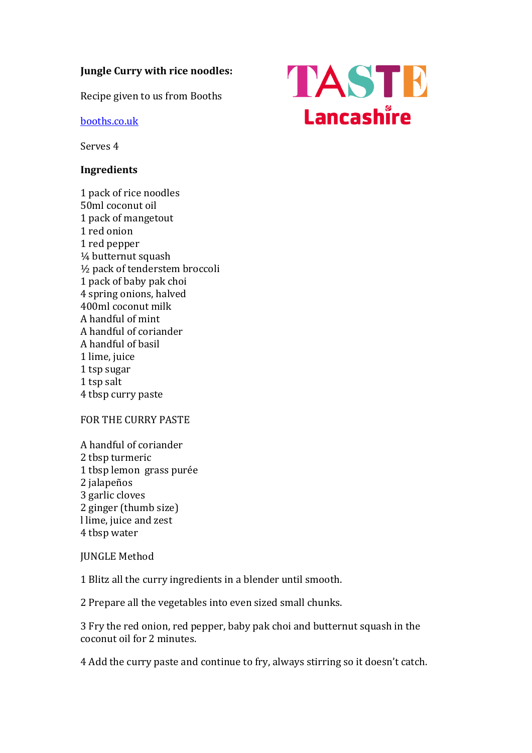## **Jungle Curry with rice noodles:**

Recipe given to us from Booths

[booths.co.uk](https://www.booths.co.uk/)

Serves 4

## **Ingredients**

1 pack of rice noodles 50ml coconut oil 1 pack of mangetout 1 red onion 1 red pepper ¼ butternut squash ½ pack of tenderstem broccoli 1 pack of baby pak choi 4 spring onions, halved 400ml coconut milk A handful of mint A handful of coriander A handful of basil 1 lime, juice 1 tsp sugar 1 tsp salt 4 tbsp curry paste

## FOR THE CURRY PASTE

A handful of coriander 2 tbsp turmeric 1 tbsp lemon grass purée 2 jalapeños 3 garlic cloves 2 ginger (thumb size) l lime, juice and zest 4 tbsp water

## JUNGLE Method

1 Blitz all the curry ingredients in a blender until smooth.

2 Prepare all the vegetables into even sized small chunks.

3 Fry the red onion, red pepper, baby pak choi and butternut squash in the coconut oil for 2 minutes.

4 Add the curry paste and continue to fry, always stirring so it doesn't catch.